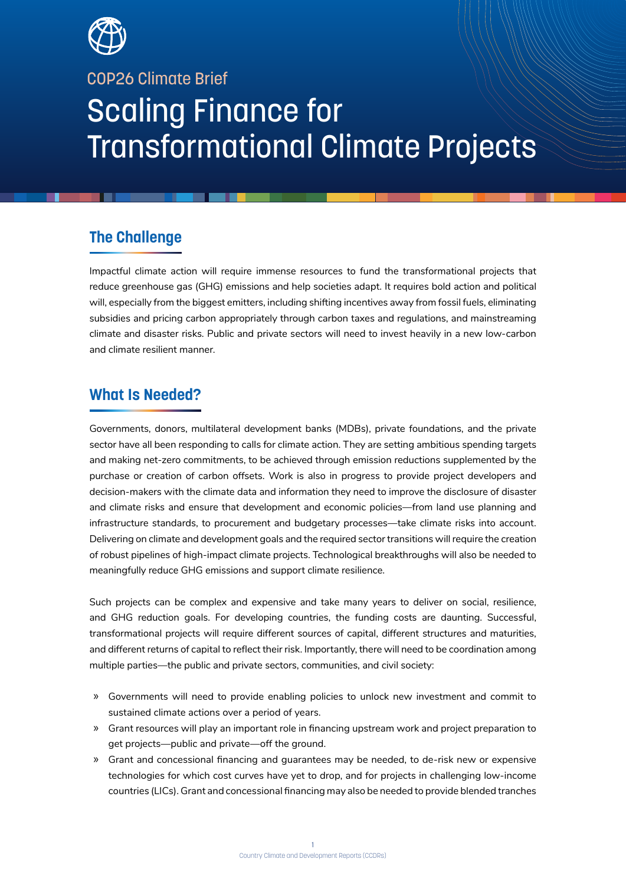

COP26 Climate Brief

# Scaling Finance for Transformational Climate Projects

# **The Challenge**

Impactful climate action will require immense resources to fund the transformational projects that reduce greenhouse gas (GHG) emissions and help societies adapt. It requires bold action and political will, especially from the biggest emitters, including shifting incentives away from fossil fuels, eliminating subsidies and pricing carbon appropriately through carbon taxes and regulations, and mainstreaming climate and disaster risks. Public and private sectors will need to invest heavily in a new low-carbon and climate resilient manner.

# **What Is Needed?**

Governments, donors, multilateral development banks (MDBs), private foundations, and the private sector have all been responding to calls for climate action. They are setting ambitious spending targets and making net-zero commitments, to be achieved through emission reductions supplemented by the purchase or creation of carbon offsets. Work is also in progress to provide project developers and decision-makers with the climate data and information they need to improve the disclosure of disaster and climate risks and ensure that development and economic policies—from land use planning and infrastructure standards, to procurement and budgetary processes—take climate risks into account. Delivering on climate and development goals and the required sector transitions will require the creation of robust pipelines of high-impact climate projects. Technological breakthroughs will also be needed to meaningfully reduce GHG emissions and support climate resilience.

Such projects can be complex and expensive and take many years to deliver on social, resilience, and GHG reduction goals. For developing countries, the funding costs are daunting. Successful, transformational projects will require different sources of capital, different structures and maturities, and different returns of capital to reflect their risk. Importantly, there will need to be coordination among multiple parties—the public and private sectors, communities, and civil society:

- » Governments will need to provide enabling policies to unlock new investment and commit to sustained climate actions over a period of years.
- » Grant resources will play an important role in financing upstream work and project preparation to get projects—public and private—off the ground.
- » Grant and concessional financing and guarantees may be needed, to de-risk new or expensive technologies for which cost curves have yet to drop, and for projects in challenging low-income countries (LICs). Grant and concessional financing may also be needed to provide blended tranches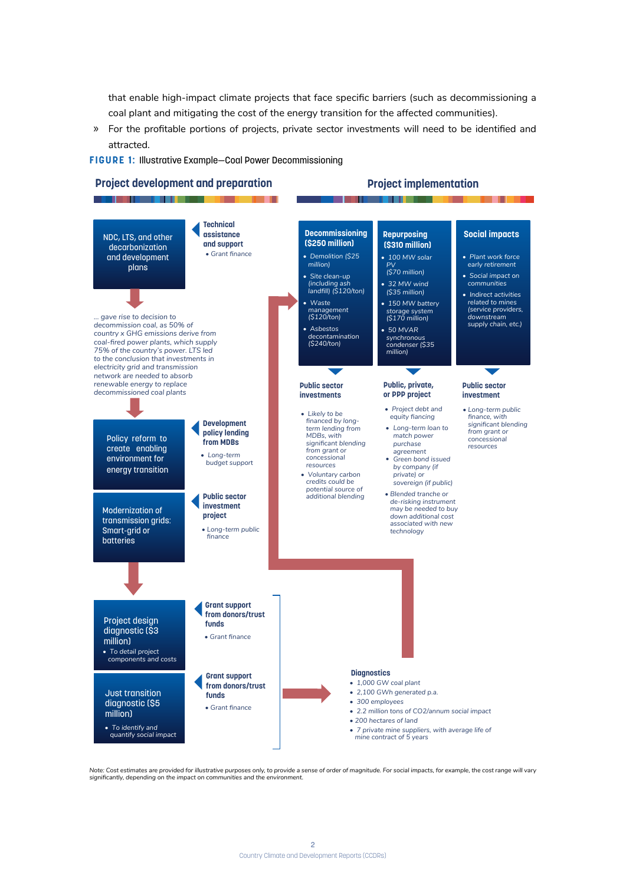that enable high-impact climate projects that face specific barriers (such as decommissioning a coal plant and mitigating the cost of the energy transition for the affected communities).

» For the profitable portions of projects, private sector investments will need to be identified and attracted.

**FIGURE 1:** Illustrative Example—Coal Power Decommissioning



#### **Project implementation**



*Note: Cost estimates are provided for illustrative purposes only, to provide a sense of order of magnitude. For social impacts, for example, the cost range will vary significantly, depending on the impact on communities and the environment.*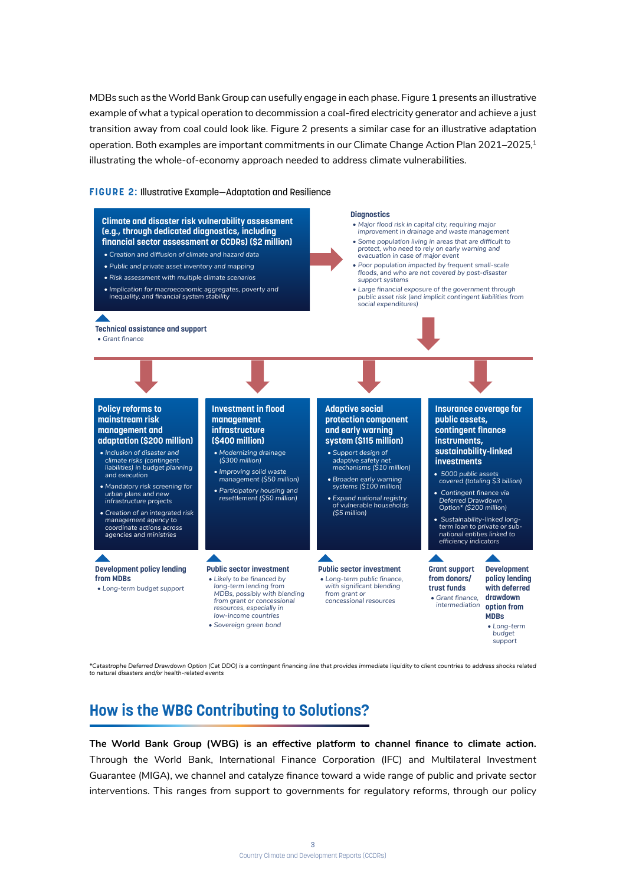MDBs such as the World Bank Group can usefully engage in each phase. Figure 1 presents an illustrative example of what a typical operation to decommission a coal-fired electricity generator and achieve a just transition away from coal could look like. Figure 2 presents a similar case for an illustrative adaptation operation. Both examples are important commitments in our Climate Change Action Plan 2021–2025.<sup>1</sup> illustrating the whole-of-economy approach needed to address climate vulnerabilities.

## **FIGURE 2:** Illustrative Example—Adaptation and Resilience



*\*Catastrophe Deferred Drawdown Option (Cat DDO) is a contingent financing line that provides immediate liquidity to client countries to address shocks related to natural disasters and/or health-related events*

# **How is the WBG Contributing to Solutions?**

**The World Bank Group (WBG) is an effective platform to channel finance to climate action.** Through the World Bank, International Finance Corporation (IFC) and Multilateral Investment Guarantee (MIGA), we channel and catalyze finance toward a wide range of public and private sector interventions. This ranges from support to governments for regulatory reforms, through our policy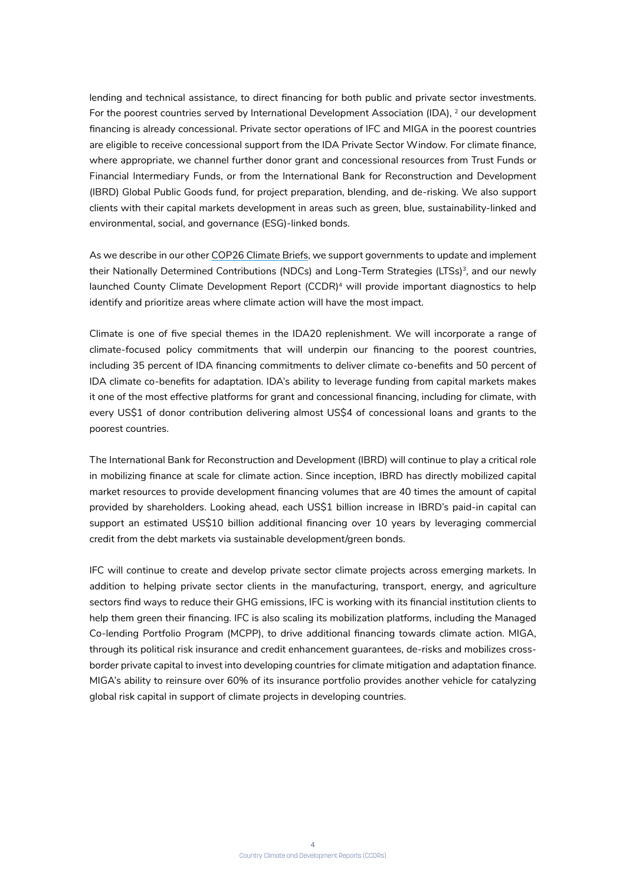lending and technical assistance, to direct financing for both public and private sector investments. For the poorest countries served by International Development Association (IDA), <sup>2</sup> our development financing is already concessional. Private sector operations of IFC and MIGA in the poorest countries are eligible to receive concessional support from the IDA Private Sector Window. For climate finance, where appropriate, we channel further donor grant and concessional resources from Trust Funds or Financial Intermediary Funds, or from the International Bank for Reconstruction and Development (IBRD) Global Public Goods fund, for project preparation, blending, and de-risking. We also support clients with their capital markets development in areas such as green, blue, sustainability-linked and environmental, social, and governance (ESG)-linked bonds.

As we describe in our other COP26 Climate Briefs, we support governments to update and implement their Nationally Determined Contributions (NDCs) and Long-Term Strategies (LTSs)<sup>3</sup>, and our newly launched County Climate Development Report (CCDR)<sup>4</sup> will provide important diagnostics to help identify and prioritize areas where climate action will have the most impact.

Climate is one of five special themes in the IDA20 replenishment. We will incorporate a range of climate-focused policy commitments that will underpin our financing to the poorest countries, including 35 percent of IDA financing commitments to deliver climate co-benefits and 50 percent of IDA climate co-benefits for adaptation. IDA's ability to leverage funding from capital markets makes it one of the most effective platforms for grant and concessional financing, including for climate, with every US\$1 of donor contribution delivering almost US\$4 of concessional loans and grants to the poorest countries.

The International Bank for Reconstruction and Development (IBRD) will continue to play a critical role in mobilizing finance at scale for climate action. Since inception, IBRD has directly mobilized capital market resources to provide development financing volumes that are 40 times the amount of capital provided by shareholders. Looking ahead, each US\$1 billion increase in IBRD's paid-in capital can support an estimated US\$10 billion additional financing over 10 years by leveraging commercial credit from the debt markets via sustainable development/green bonds.

IFC will continue to create and develop private sector climate projects across emerging markets. In addition to helping private sector clients in the manufacturing, transport, energy, and agriculture sectors find ways to reduce their GHG emissions, IFC is working with its financial institution clients to help them green their financing. IFC is also scaling its mobilization platforms, including the Managed Co-lending Portfolio Program (MCPP), to drive additional financing towards climate action. MIGA, through its political risk insurance and credit enhancement guarantees, de-risks and mobilizes crossborder private capital to invest into developing countries for climate mitigation and adaptation finance. MIGA's ability to reinsure over 60% of its insurance portfolio provides another vehicle for catalyzing global risk capital in support of climate projects in developing countries.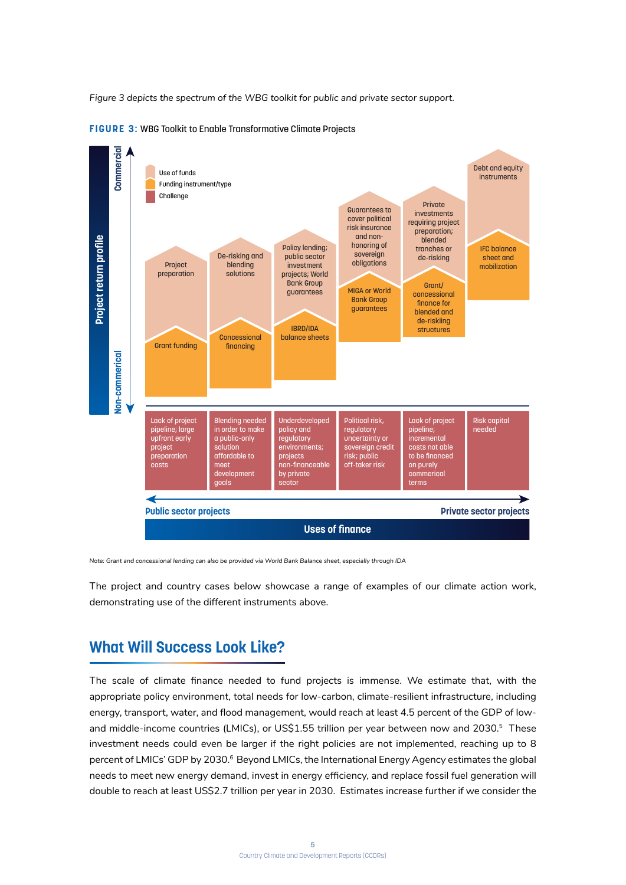*Figure 3 depicts the spectrum of the WBG toolkit for public and private sector support.* 



**FIGURE 3:** WBG Toolkit to Enable Transformative Climate Projects

*Note: Grant and concessional lending can also be provided via World Bank Balance sheet, especially through IDA*

The project and country cases below showcase a range of examples of our climate action work, demonstrating use of the different instruments above.

# **What Will Success Look Like?**

The scale of climate finance needed to fund projects is immense. We estimate that, with the appropriate policy environment, total needs for low-carbon, climate-resilient infrastructure, including energy, transport, water, and flood management, would reach at least 4.5 percent of the GDP of lowand middle-income countries (LMICs), or US\$1.55 trillion per year between now and 2030.<sup>5</sup> These investment needs could even be larger if the right policies are not implemented, reaching up to 8 percent of LMICs' GDP by 2030.<sup>6</sup> Beyond LMICs, the International Energy Agency estimates the global needs to meet new energy demand, invest in energy efficiency, and replace fossil fuel generation will double to reach at least US\$2.7 trillion per year in 2030. Estimates increase further if we consider the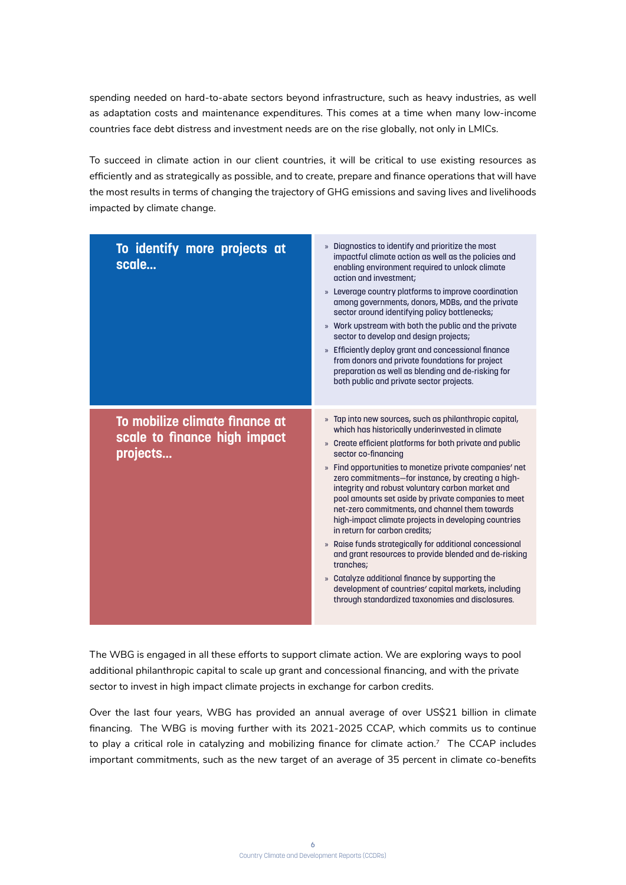spending needed on hard-to-abate sectors beyond infrastructure, such as heavy industries, as well as adaptation costs and maintenance expenditures. This comes at a time when many low-income countries face debt distress and investment needs are on the rise globally, not only in LMICs.

To succeed in climate action in our client countries, it will be critical to use existing resources as efficiently and as strategically as possible, and to create, prepare and finance operations that will have the most results in terms of changing the trajectory of GHG emissions and saving lives and livelihoods impacted by climate change.

| To identify more projects at<br>scale                                      | » Diagnostics to identify and prioritize the most<br>impactful climate action as well as the policies and<br>enabling environment required to unlock climate<br>action and investment;<br>» Leverage country platforms to improve coordination<br>among governments, donors, MDBs, and the private<br>sector around identifying policy bottlenecks;<br>» Work upstream with both the public and the private<br>sector to develop and design projects;<br>» Efficiently deploy grant and concessional finance<br>from donors and private foundations for project<br>preparation as well as blending and de-risking for<br>both public and private sector projects.                                                                                                                                                                                                   |
|----------------------------------------------------------------------------|---------------------------------------------------------------------------------------------------------------------------------------------------------------------------------------------------------------------------------------------------------------------------------------------------------------------------------------------------------------------------------------------------------------------------------------------------------------------------------------------------------------------------------------------------------------------------------------------------------------------------------------------------------------------------------------------------------------------------------------------------------------------------------------------------------------------------------------------------------------------|
| To mobilize climate finance at<br>scale to finance high impact<br>projects | » Tap into new sources, such as philanthropic capital,<br>which has historically underinvested in climate<br>» Create efficient platforms for both private and public<br>sector co-financing<br>» Find opportunities to monetize private companies' net<br>zero commitments-for instance, by creating a high-<br>integrity and robust voluntary carbon market and<br>pool amounts set aside by private companies to meet<br>net-zero commitments, and channel them towards<br>high-impact climate projects in developing countries<br>in return for carbon credits;<br>» Raise funds strategically for additional concessional<br>and grant resources to provide blended and de-risking<br>tranches;<br>» Catalyze additional finance by supporting the<br>development of countries' capital markets, including<br>through standardized taxonomies and disclosures. |

The WBG is engaged in all these efforts to support climate action. We are exploring ways to pool additional philanthropic capital to scale up grant and concessional financing, and with the private sector to invest in high impact climate projects in exchange for carbon credits.

Over the last four years, WBG has provided an annual average of over US\$21 billion in climate financing. The WBG is moving further with its 2021-2025 CCAP, which commits us to continue to play a critical role in catalyzing and mobilizing finance for climate action.<sup>7</sup> The CCAP includes important commitments, such as the new target of an average of 35 percent in climate co-benefits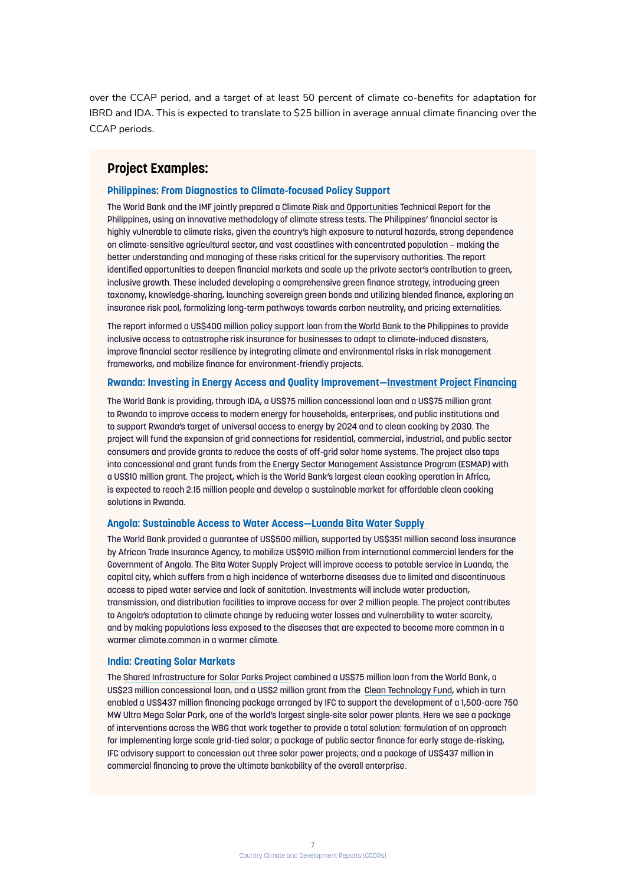over the CCAP period, and a target of at least 50 percent of climate co-benefits for adaptation for IBRD and IDA. This is expected to translate to \$25 billion in average annual climate financing over the CCAP periods.

# **Project Examples:**

### **Philippines: From Diagnostics to Climate-focused Policy Support**

The World Bank and the IMF jointly prepared a Climate Risk and Opportunities Technical Report for the Philippines, using an innovative methodology of climate stress tests. The Philippines' financial sector is highly vulnerable to climate risks, given the country's high exposure to natural hazards, strong dependence on climate-sensitive agricultural sector, and vast coastlines with concentrated population – making the better understanding and managing of these risks critical for the supervisory authorities. The report identified opportunities to deepen financial markets and scale up the private sector's contribution to green, inclusive growth. These included developing a comprehensive green finance strategy, introducing green taxonomy, knowledge-sharing, launching sovereign green bonds and utilizing blended finance, exploring an insurance risk pool, formalizing long-term pathways towards carbon neutrality, and pricing externalities.

The report informed a US\$400 million policy support loan from the World Bank to the Philippines to provide inclusive access to catastrophe risk insurance for businesses to adapt to climate-induced disasters, improve financial sector resilience by integrating climate and environmental risks in risk management frameworks, and mobilize finance for environment-friendly projects.

# **Rwanda: Investing in Energy Access and Quality Improvement—Investment Project Financing**

The World Bank is providing, through IDA, a US\$75 million concessional loan and a US\$75 million grant to Rwanda to improve access to modern energy for households, enterprises, and public institutions and to support Rwanda's target of universal access to energy by 2024 and to clean cooking by 2030. The project will fund the expansion of grid connections for residential, commercial, industrial, and public sector consumers and provide grants to reduce the costs of off-grid solar home systems. The project also taps into concessional and grant funds from the Energy Sector Management Assistance Program (ESMAP) with a US\$10 million grant. The project, which is the World Bank's largest clean cooking operation in Africa, is expected to reach 2.15 million people and develop a sustainable market for affordable clean cooking solutions in Rwanda.

## **Angola: Sustainable Access to Water Access—Luanda Bita Water Supply**

The World Bank provided a guarantee of US\$500 million, supported by US\$351 million second loss insurance by African Trade Insurance Agency, to mobilize US\$910 million from international commercial lenders for the Government of Angola. The Bita Water Supply Project will improve access to potable service in Luanda, the capital city, which suffers from a high incidence of waterborne diseases due to limited and discontinuous access to piped water service and lack of sanitation. Investments will include water production, transmission, and distribution facilities to improve access for over 2 million people. The project contributes to Angola's adaptation to climate change by reducing water losses and vulnerability to water scarcity, and by making populations less exposed to the diseases that are expected to become more common in a warmer climate.common in a warmer climate.

#### **India: Creating Solar Markets**

The Shared Infrastructure for Solar Parks Project combined a US\$75 million loan from the World Bank, a US\$23 million concessional loan, and a US\$2 million grant from the Clean Technology Fund, which in turn enabled a US\$437 million financing package arranged by IFC to support the development of a 1,500-acre 750 MW Ultra Mega Solar Park, one of the world's largest single-site solar power plants. Here we see a package of interventions across the WBG that work together to provide a total solution: formulation of an approach for implementing large scale grid-tied solar; a package of public sector finance for early stage de-risking, IFC advisory support to concession out three solar power projects; and a package of US\$437 million in commercial financing to prove the ultimate bankability of the overall enterprise.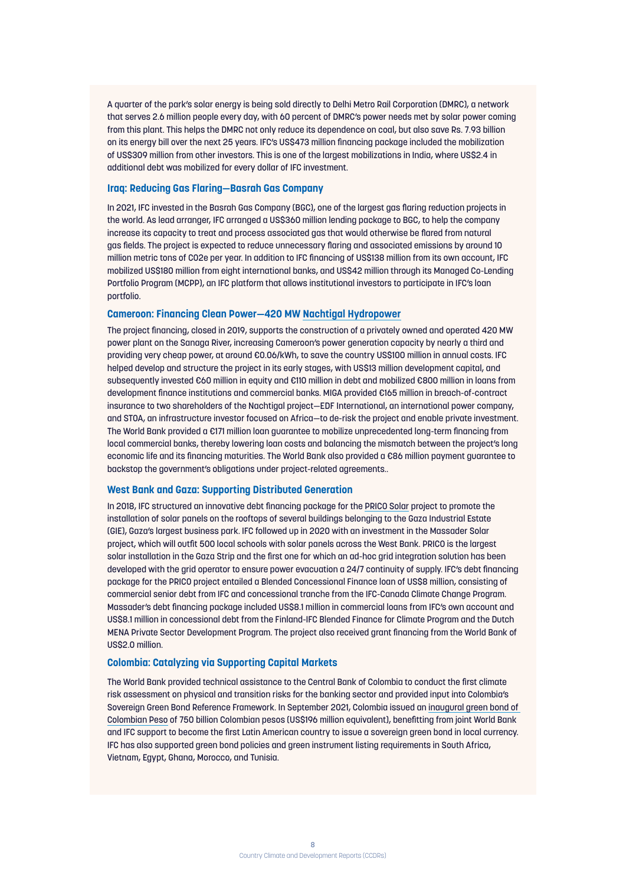A quarter of the park's solar energy is being sold directly to Delhi Metro Rail Corporation (DMRC), a network that serves 2.6 million people every day, with 60 percent of DMRC's power needs met by solar power coming from this plant. This helps the DMRC not only reduce its dependence on coal, but also save Rs. 7.93 billion on its energy bill over the next 25 years. IFC's US\$473 million financing package included the mobilization of US\$309 million from other investors. This is one of the largest mobilizations in India, where US\$2.4 in additional debt was mobilized for every dollar of IFC investment.

## **Iraq: Reducing Gas Flaring—Basrah Gas Company**

In 2021, IFC invested in the Basrah Gas Company (BGC), one of the largest gas flaring reduction projects in the world. As lead arranger, IFC arranged a US\$360 million lending package to BGC, to help the company increase its capacity to treat and process associated gas that would otherwise be flared from natural gas fields. The project is expected to reduce unnecessary flaring and associated emissions by around 10 million metric tons of CO2e per year. In addition to IFC financing of US\$138 million from its own account, IFC mobilized US\$180 million from eight international banks, and US\$42 million through its Managed Co-Lending Portfolio Program (MCPP), an IFC platform that allows institutional investors to participate in IFC's loan portfolio.

# **Cameroon: Financing Clean Power—420 MW Nachtigal Hydropower**

The project financing, closed in 2019, supports the construction of a privately owned and operated 420 MW power plant on the Sanaga River, increasing Cameroon's power generation capacity by nearly a third and providing very cheap power, at around €0.06/kWh, to save the country US\$100 million in annual costs. IFC helped develop and structure the project in its early stages, with US\$13 million development capital, and subsequently invested €60 million in equity and €110 million in debt and mobilized €800 million in loans from development finance institutions and commercial banks. MIGA provided €165 million in breach-of-contract insurance to two shareholders of the Nachtigal project—EDF International, an international power company, and STOA, an infrastructure investor focused on Africa—to de-risk the project and enable private investment. The World Bank provided a €171 million loan guarantee to mobilize unprecedented long-term financing from local commercial banks, thereby lowering loan costs and balancing the mismatch between the project's long economic life and its financing maturities. The World Bank also provided a €86 million payment guarantee to backstop the government's obligations under project-related agreements..

#### **West Bank and Gaza: Supporting Distributed Generation**

In 2018, IFC structured an innovative debt financing package for the PRICO Solar project to promote the installation of solar panels on the rooftops of several buildings belonging to the Gaza Industrial Estate (GIE), Gaza's largest business park. IFC followed up in 2020 with an investment in the Massader Solar project, which will outfit 500 local schools with solar panels across the West Bank. PRICO is the largest solar installation in the Gaza Strip and the first one for which an ad-hoc grid integration solution has been developed with the grid operator to ensure power evacuation a 24/7 continuity of supply. IFC's debt financing package for the PRICO project entailed a Blended Concessional Finance loan of US\$8 million, consisting of commercial senior debt from IFC and concessional tranche from the IFC-Canada Climate Change Program. Massader's debt financing package included US\$8.1 million in commercial loans from IFC's own account and US\$8.1 million in concessional debt from the Finland-IFC Blended Finance for Climate Program and the Dutch MENA Private Sector Development Program. The project also received grant financing from the World Bank of US\$2.0 million.

### **Colombia: Catalyzing via Supporting Capital Markets**

The World Bank provided technical assistance to the Central Bank of Colombia to conduct the first climate risk assessment on physical and transition risks for the banking sector and provided input into Colombia's Sovereign Green Bond Reference Framework. In September 2021, Colombia issued an inaugural green bond of Colombian Peso of 750 billion Colombian pesos (US\$196 million equivalent), benefitting from joint World Bank and IFC support to become the first Latin American country to issue a sovereign green bond in local currency. IFC has also supported green bond policies and green instrument listing requirements in South Africa, Vietnam, Egypt, Ghana, Morocco, and Tunisia.